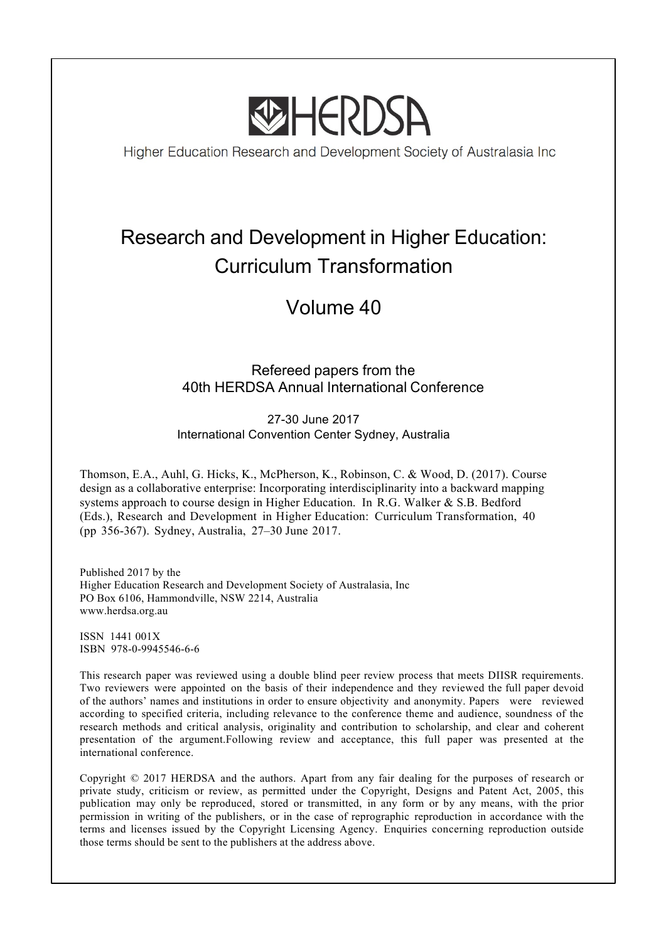

Higher Education Research and Development Society of Australasia Inc

# Research and Development in Higher Education: Curriculum Transformation

## Volume 40

## Refereed papers from the 40th HERDSA Annual International Conference

27-30 June 2017 International Convention Center Sydney, Australia

Thomson, E.A., Auhl, G. Hicks, K., McPherson, K., Robinson, C. & Wood, D. (2017). Course design as a collaborative enterprise: Incorporating interdisciplinarity into a backward mapping systems approach to course design in Higher Education. In R.G. Walker & S.B. Bedford (Eds.), Research and Development in Higher Education: Curriculum Transformation, 40 (pp 356-367). Sydney, Australia, 27–30 June 2017.

Published 2017 by the Higher Education Research and Development Society of Australasia, Inc PO Box 6106, Hammondville, NSW 2214, Australia www.herdsa.org.au

ISSN 1441 001X ISBN 978-0-9945546-6-6

This research paper was reviewed using a double blind peer review process that meets DIISR requirements. Two reviewers were appointed on the basis of their independence and they reviewed the full paper devoid of the authors' names and institutions in order to ensure objectivity and anonymity. Papers were reviewed according to specified criteria, including relevance to the conference theme and audience, soundness of the research methods and critical analysis, originality and contribution to scholarship, and clear and coherent presentation of the argument.Following review and acceptance, this full paper was presented at the international conference.

Copyright © 2017 HERDSA and the authors. Apart from any fair dealing for the purposes of research or private study, criticism or review, as permitted under the Copyright, Designs and Patent Act, 2005, this publication may only be reproduced, stored or transmitted, in any form or by any means, with the prior permission in writing of the publishers, or in the case of reprographic reproduction in accordance with the terms and licenses issued by the Copyright Licensing Agency. Enquiries concerning reproduction outside those terms should be sent to the publishers at the address above.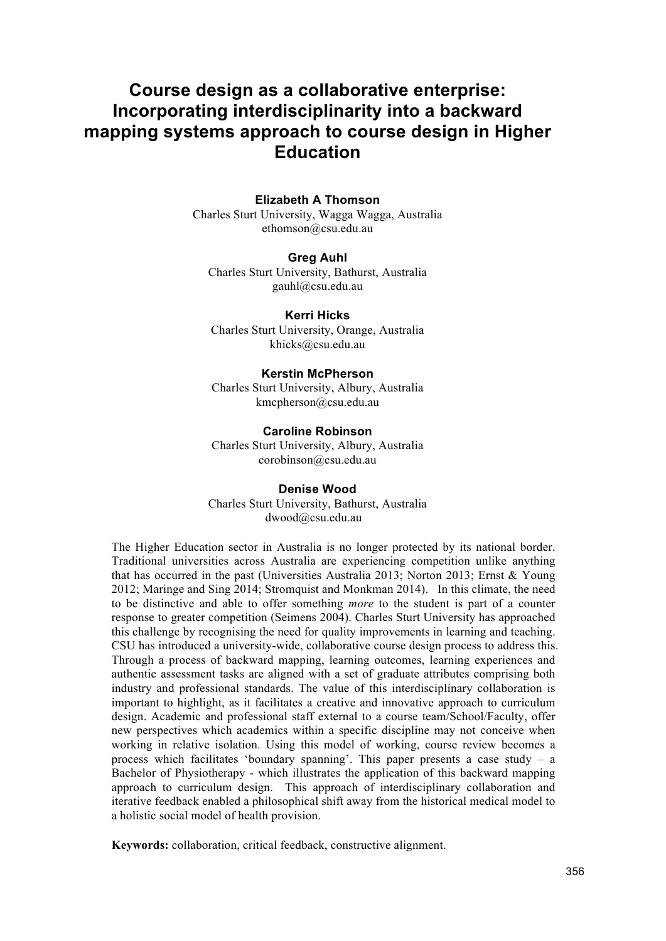## **Course design as a collaborative enterprise: Incorporating interdisciplinarity into a backward mapping systems approach to course design in Higher Education**

#### **Elizabeth A Thomson**

Charles Sturt University, Wagga Wagga, Australia ethomson@csu.edu.au

#### **Greg Auhl**

Charles Sturt University, Bathurst, Australia gauhl@csu.edu.au

**Kerri Hicks** Charles Sturt University, Orange, Australia khicks@csu.edu.au

#### **Kerstin McPherson**

Charles Sturt University, Albury, Australia kmcpherson@csu.edu.au

**Caroline Robinson** Charles Sturt University, Albury, Australia corobinson@csu.edu.au

#### **Denise Wood**

Charles Sturt University, Bathurst, Australia dwood@csu.edu.au

The Higher Education sector in Australia is no longer protected by its national border. Traditional universities across Australia are experiencing competition unlike anything that has occurred in the past (Universities Australia 2013; Norton 2013; Ernst & Young 2012; Maringe and Sing 2014; Stromquist and Monkman 2014). In this climate, the need to be distinctive and able to offer something *more* to the student is part of a counter response to greater competition (Seimens 2004). Charles Sturt University has approached this challenge by recognising the need for quality improvements in learning and teaching. CSU has introduced a university-wide, collaborative course design process to address this. Through a process of backward mapping, learning outcomes, learning experiences and authentic assessment tasks are aligned with a set of graduate attributes comprising both industry and professional standards. The value of this interdisciplinary collaboration is important to highlight, as it facilitates a creative and innovative approach to curriculum design. Academic and professional staff external to a course team/School/Faculty, offer new perspectives which academics within a specific discipline may not conceive when working in relative isolation. Using this model of working, course review becomes a process which facilitates 'boundary spanning'. This paper presents a case study – a Bachelor of Physiotherapy - which illustrates the application of this backward mapping approach to curriculum design. This approach of interdisciplinary collaboration and iterative feedback enabled a philosophical shift away from the historical medical model to a holistic social model of health provision.

**Keywords:** collaboration, critical feedback, constructive alignment.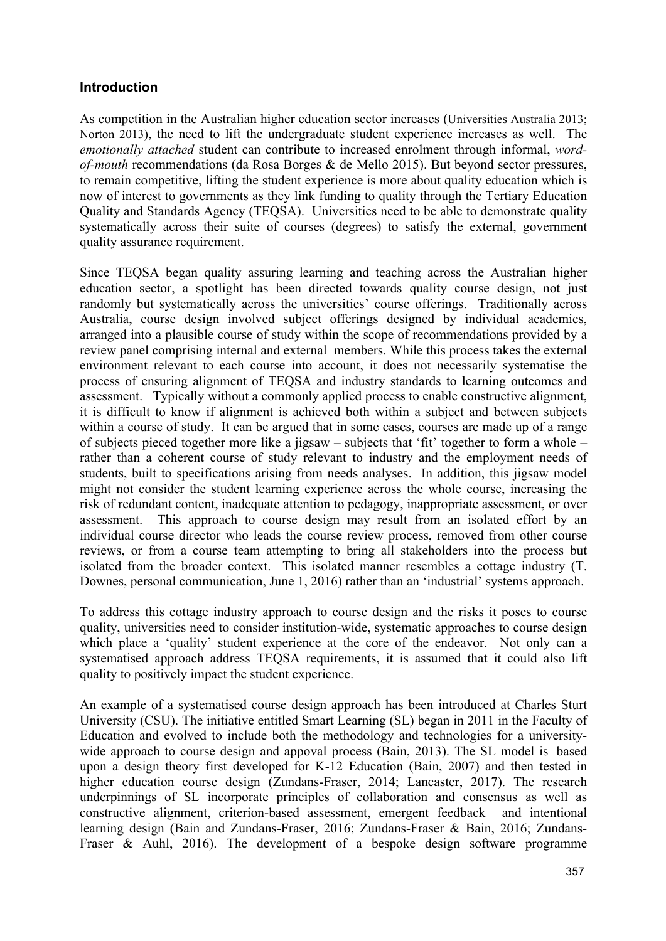#### **Introduction**

As competition in the Australian higher education sector increases (Universities Australia 2013; Norton 2013), the need to lift the undergraduate student experience increases as well. The *emotionally attached* student can contribute to increased enrolment through informal, *wordof-mouth* recommendations (da Rosa Borges & de Mello 2015). But beyond sector pressures, to remain competitive, lifting the student experience is more about quality education which is now of interest to governments as they link funding to quality through the Tertiary Education Quality and Standards Agency (TEQSA). Universities need to be able to demonstrate quality systematically across their suite of courses (degrees) to satisfy the external, government quality assurance requirement.

Since TEQSA began quality assuring learning and teaching across the Australian higher education sector, a spotlight has been directed towards quality course design, not just randomly but systematically across the universities' course offerings. Traditionally across Australia, course design involved subject offerings designed by individual academics, arranged into a plausible course of study within the scope of recommendations provided by a review panel comprising internal and external members. While this process takes the external environment relevant to each course into account, it does not necessarily systematise the process of ensuring alignment of TEQSA and industry standards to learning outcomes and assessment. Typically without a commonly applied process to enable constructive alignment, it is difficult to know if alignment is achieved both within a subject and between subjects within a course of study. It can be argued that in some cases, courses are made up of a range of subjects pieced together more like a jigsaw – subjects that 'fit' together to form a whole – rather than a coherent course of study relevant to industry and the employment needs of students, built to specifications arising from needs analyses. In addition, this jigsaw model might not consider the student learning experience across the whole course, increasing the risk of redundant content, inadequate attention to pedagogy, inappropriate assessment, or over assessment. This approach to course design may result from an isolated effort by an individual course director who leads the course review process, removed from other course reviews, or from a course team attempting to bring all stakeholders into the process but isolated from the broader context. This isolated manner resembles a cottage industry (T. Downes, personal communication, June 1, 2016) rather than an 'industrial' systems approach.

To address this cottage industry approach to course design and the risks it poses to course quality, universities need to consider institution-wide, systematic approaches to course design which place a 'quality' student experience at the core of the endeavor. Not only can a systematised approach address TEQSA requirements, it is assumed that it could also lift quality to positively impact the student experience.

An example of a systematised course design approach has been introduced at Charles Sturt University (CSU). The initiative entitled Smart Learning (SL) began in 2011 in the Faculty of Education and evolved to include both the methodology and technologies for a universitywide approach to course design and appoval process (Bain, 2013). The SL model is based upon a design theory first developed for K-12 Education (Bain, 2007) and then tested in higher education course design (Zundans-Fraser, 2014; Lancaster, 2017). The research underpinnings of SL incorporate principles of collaboration and consensus as well as constructive alignment, criterion-based assessment, emergent feedback and intentional learning design (Bain and Zundans-Fraser, 2016; Zundans-Fraser & Bain, 2016; Zundans-Fraser & Auhl, 2016). The development of a bespoke design software programme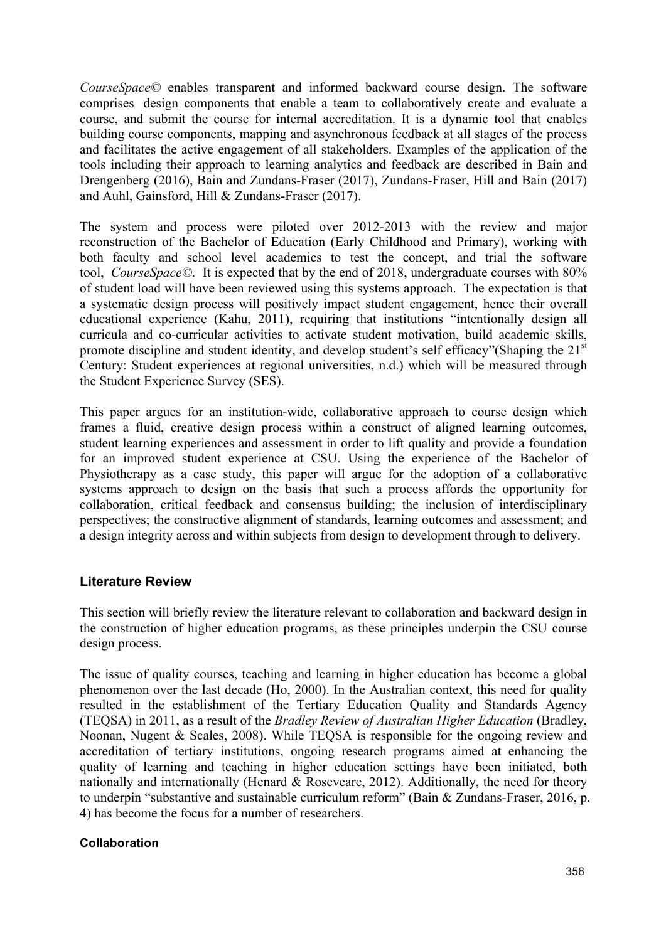*CourseSpace©* enables transparent and informed backward course design. The software comprises design components that enable a team to collaboratively create and evaluate a course, and submit the course for internal accreditation. It is a dynamic tool that enables building course components, mapping and asynchronous feedback at all stages of the process and facilitates the active engagement of all stakeholders. Examples of the application of the tools including their approach to learning analytics and feedback are described in Bain and Drengenberg (2016), Bain and Zundans-Fraser (2017), Zundans-Fraser, Hill and Bain (2017) and Auhl, Gainsford, Hill & Zundans-Fraser (2017).

The system and process were piloted over 2012-2013 with the review and major reconstruction of the Bachelor of Education (Early Childhood and Primary), working with both faculty and school level academics to test the concept, and trial the software tool, *CourseSpace©*. It is expected that by the end of 2018, undergraduate courses with 80% of student load will have been reviewed using this systems approach. The expectation is that a systematic design process will positively impact student engagement, hence their overall educational experience (Kahu, 2011), requiring that institutions "intentionally design all curricula and co-curricular activities to activate student motivation, build academic skills, promote discipline and student identity, and develop student's self efficacy"(Shaping the  $21<sup>st</sup>$ Century: Student experiences at regional universities, n.d.) which will be measured through the Student Experience Survey (SES).

This paper argues for an institution-wide, collaborative approach to course design which frames a fluid, creative design process within a construct of aligned learning outcomes, student learning experiences and assessment in order to lift quality and provide a foundation for an improved student experience at CSU. Using the experience of the Bachelor of Physiotherapy as a case study, this paper will argue for the adoption of a collaborative systems approach to design on the basis that such a process affords the opportunity for collaboration, critical feedback and consensus building; the inclusion of interdisciplinary perspectives; the constructive alignment of standards, learning outcomes and assessment; and a design integrity across and within subjects from design to development through to delivery.

## **Literature Review**

This section will briefly review the literature relevant to collaboration and backward design in the construction of higher education programs, as these principles underpin the CSU course design process.

The issue of quality courses, teaching and learning in higher education has become a global phenomenon over the last decade (Ho, 2000). In the Australian context, this need for quality resulted in the establishment of the Tertiary Education Quality and Standards Agency (TEQSA) in 2011, as a result of the *Bradley Review of Australian Higher Education* (Bradley, Noonan, Nugent & Scales, 2008). While TEQSA is responsible for the ongoing review and accreditation of tertiary institutions, ongoing research programs aimed at enhancing the quality of learning and teaching in higher education settings have been initiated, both nationally and internationally (Henard  $& Roseveare, 2012$ ). Additionally, the need for theory to underpin "substantive and sustainable curriculum reform" (Bain & Zundans-Fraser, 2016, p. 4) has become the focus for a number of researchers.

#### **Collaboration**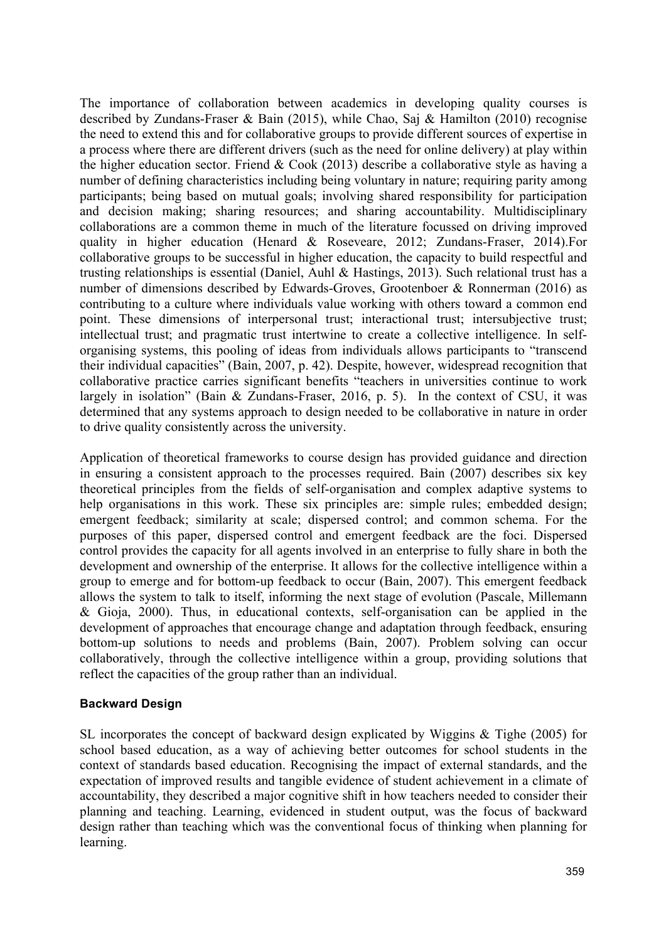The importance of collaboration between academics in developing quality courses is described by Zundans-Fraser & Bain (2015), while Chao, Saj & Hamilton (2010) recognise the need to extend this and for collaborative groups to provide different sources of expertise in a process where there are different drivers (such as the need for online delivery) at play within the higher education sector. Friend  $& Cook$  (2013) describe a collaborative style as having a number of defining characteristics including being voluntary in nature; requiring parity among participants; being based on mutual goals; involving shared responsibility for participation and decision making; sharing resources; and sharing accountability. Multidisciplinary collaborations are a common theme in much of the literature focussed on driving improved quality in higher education (Henard & Roseveare, 2012; Zundans-Fraser, 2014).For collaborative groups to be successful in higher education, the capacity to build respectful and trusting relationships is essential (Daniel, Auhl & Hastings, 2013). Such relational trust has a number of dimensions described by Edwards-Groves, Grootenboer & Ronnerman (2016) as contributing to a culture where individuals value working with others toward a common end point. These dimensions of interpersonal trust; interactional trust; intersubjective trust; intellectual trust; and pragmatic trust intertwine to create a collective intelligence. In selforganising systems, this pooling of ideas from individuals allows participants to "transcend their individual capacities" (Bain, 2007, p. 42). Despite, however, widespread recognition that collaborative practice carries significant benefits "teachers in universities continue to work largely in isolation" (Bain & Zundans-Fraser, 2016, p. 5). In the context of CSU, it was determined that any systems approach to design needed to be collaborative in nature in order to drive quality consistently across the university.

Application of theoretical frameworks to course design has provided guidance and direction in ensuring a consistent approach to the processes required. Bain (2007) describes six key theoretical principles from the fields of self-organisation and complex adaptive systems to help organisations in this work. These six principles are: simple rules; embedded design; emergent feedback; similarity at scale; dispersed control; and common schema. For the purposes of this paper, dispersed control and emergent feedback are the foci. Dispersed control provides the capacity for all agents involved in an enterprise to fully share in both the development and ownership of the enterprise. It allows for the collective intelligence within a group to emerge and for bottom-up feedback to occur (Bain, 2007). This emergent feedback allows the system to talk to itself, informing the next stage of evolution (Pascale, Millemann & Gioja, 2000). Thus, in educational contexts, self-organisation can be applied in the development of approaches that encourage change and adaptation through feedback, ensuring bottom-up solutions to needs and problems (Bain, 2007). Problem solving can occur collaboratively, through the collective intelligence within a group, providing solutions that reflect the capacities of the group rather than an individual.

## **Backward Design**

SL incorporates the concept of backward design explicated by Wiggins & Tighe (2005) for school based education, as a way of achieving better outcomes for school students in the context of standards based education. Recognising the impact of external standards, and the expectation of improved results and tangible evidence of student achievement in a climate of accountability, they described a major cognitive shift in how teachers needed to consider their planning and teaching. Learning, evidenced in student output, was the focus of backward design rather than teaching which was the conventional focus of thinking when planning for learning.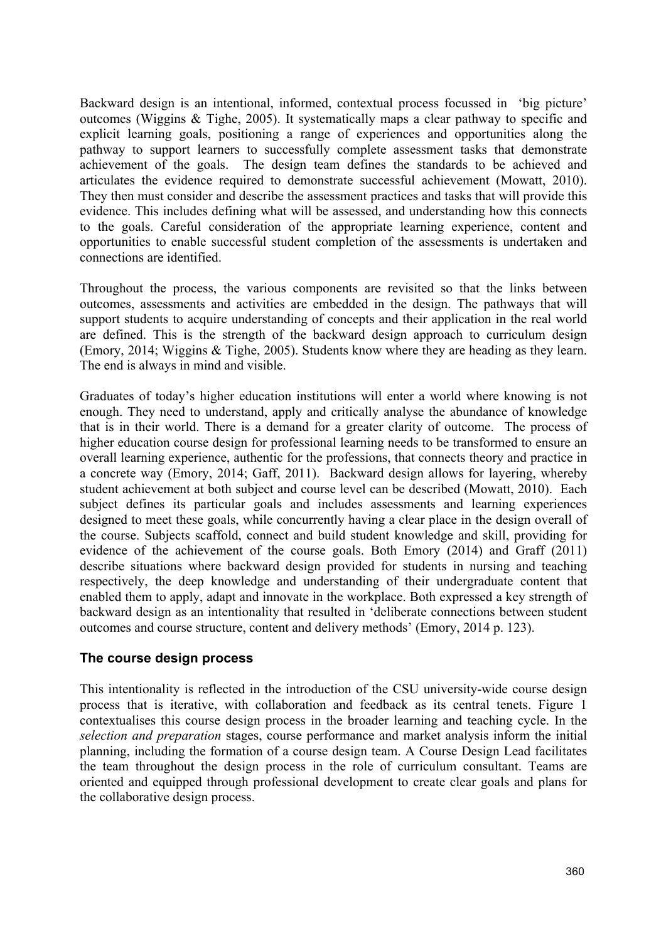Backward design is an intentional, informed, contextual process focussed in 'big picture' outcomes (Wiggins & Tighe, 2005). It systematically maps a clear pathway to specific and explicit learning goals, positioning a range of experiences and opportunities along the pathway to support learners to successfully complete assessment tasks that demonstrate achievement of the goals. The design team defines the standards to be achieved and articulates the evidence required to demonstrate successful achievement (Mowatt, 2010). They then must consider and describe the assessment practices and tasks that will provide this evidence. This includes defining what will be assessed, and understanding how this connects to the goals. Careful consideration of the appropriate learning experience, content and opportunities to enable successful student completion of the assessments is undertaken and connections are identified.

Throughout the process, the various components are revisited so that the links between outcomes, assessments and activities are embedded in the design. The pathways that will support students to acquire understanding of concepts and their application in the real world are defined. This is the strength of the backward design approach to curriculum design (Emory, 2014; Wiggins & Tighe, 2005). Students know where they are heading as they learn. The end is always in mind and visible.

Graduates of today's higher education institutions will enter a world where knowing is not enough. They need to understand, apply and critically analyse the abundance of knowledge that is in their world. There is a demand for a greater clarity of outcome. The process of higher education course design for professional learning needs to be transformed to ensure an overall learning experience, authentic for the professions, that connects theory and practice in a concrete way (Emory, 2014; Gaff, 2011). Backward design allows for layering, whereby student achievement at both subject and course level can be described (Mowatt, 2010). Each subject defines its particular goals and includes assessments and learning experiences designed to meet these goals, while concurrently having a clear place in the design overall of the course. Subjects scaffold, connect and build student knowledge and skill, providing for evidence of the achievement of the course goals. Both Emory (2014) and Graff (2011) describe situations where backward design provided for students in nursing and teaching respectively, the deep knowledge and understanding of their undergraduate content that enabled them to apply, adapt and innovate in the workplace. Both expressed a key strength of backward design as an intentionality that resulted in 'deliberate connections between student outcomes and course structure, content and delivery methods' (Emory, 2014 p. 123).

## **The course design process**

This intentionality is reflected in the introduction of the CSU university-wide course design process that is iterative, with collaboration and feedback as its central tenets. Figure 1 contextualises this course design process in the broader learning and teaching cycle. In the *selection and preparation* stages, course performance and market analysis inform the initial planning, including the formation of a course design team. A Course Design Lead facilitates the team throughout the design process in the role of curriculum consultant. Teams are oriented and equipped through professional development to create clear goals and plans for the collaborative design process.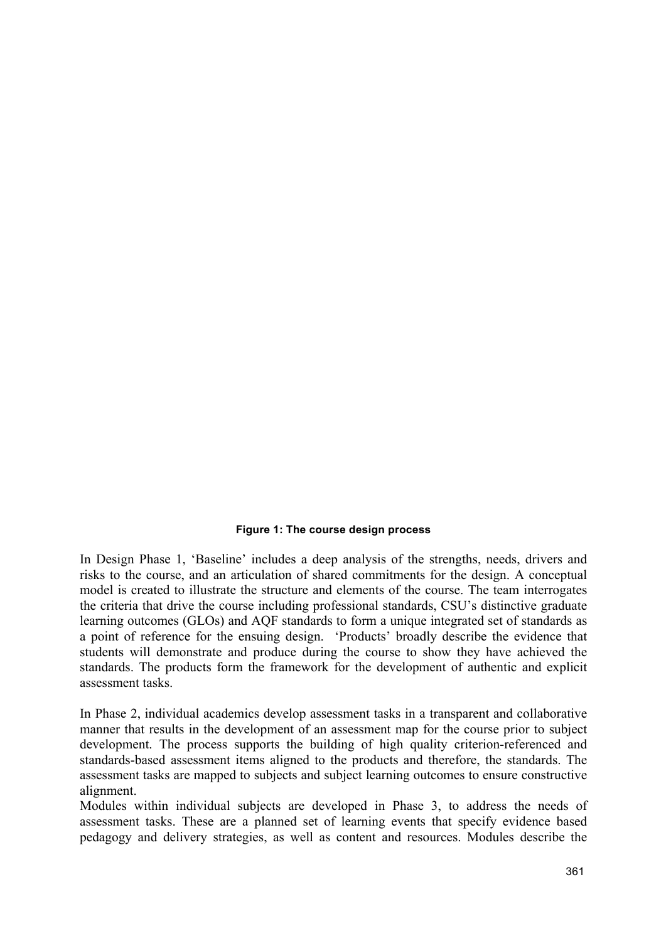#### **Figure 1: The course design process**

In Design Phase 1, 'Baseline' includes a deep analysis of the strengths, needs, drivers and risks to the course, and an articulation of shared commitments for the design. A conceptual model is created to illustrate the structure and elements of the course. The team interrogates the criteria that drive the course including professional standards, CSU's distinctive graduate learning outcomes (GLOs) and AQF standards to form a unique integrated set of standards as a point of reference for the ensuing design. 'Products' broadly describe the evidence that students will demonstrate and produce during the course to show they have achieved the standards. The products form the framework for the development of authentic and explicit assessment tasks.

In Phase 2, individual academics develop assessment tasks in a transparent and collaborative manner that results in the development of an assessment map for the course prior to subject development. The process supports the building of high quality criterion-referenced and standards-based assessment items aligned to the products and therefore, the standards. The assessment tasks are mapped to subjects and subject learning outcomes to ensure constructive alignment.

Modules within individual subjects are developed in Phase 3, to address the needs of assessment tasks. These are a planned set of learning events that specify evidence based pedagogy and delivery strategies, as well as content and resources. Modules describe the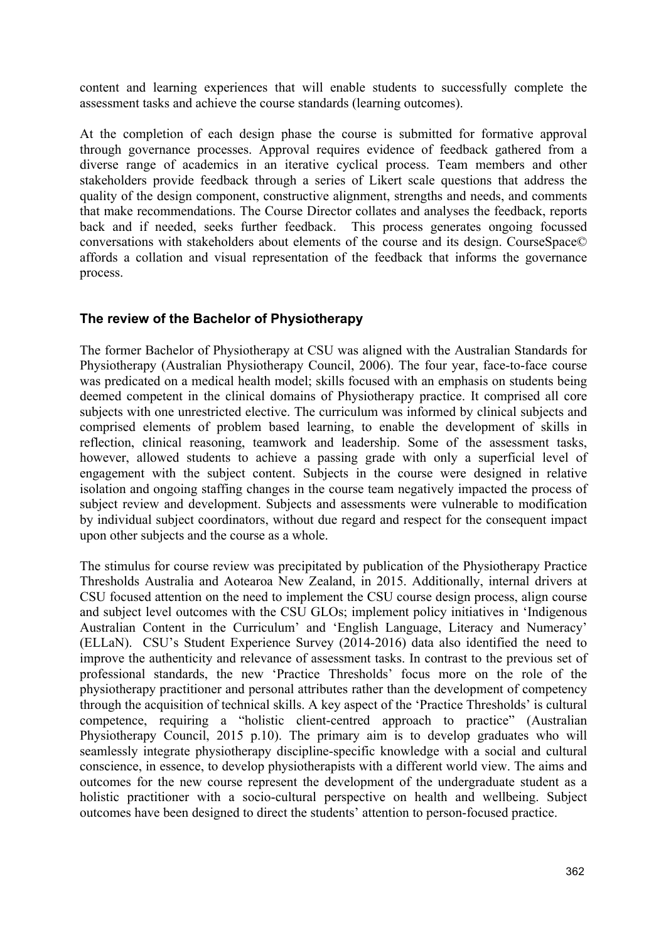content and learning experiences that will enable students to successfully complete the assessment tasks and achieve the course standards (learning outcomes).

At the completion of each design phase the course is submitted for formative approval through governance processes. Approval requires evidence of feedback gathered from a diverse range of academics in an iterative cyclical process. Team members and other stakeholders provide feedback through a series of Likert scale questions that address the quality of the design component, constructive alignment, strengths and needs, and comments that make recommendations. The Course Director collates and analyses the feedback, reports back and if needed, seeks further feedback. This process generates ongoing focussed conversations with stakeholders about elements of the course and its design. CourseSpace© affords a collation and visual representation of the feedback that informs the governance process.

## **The review of the Bachelor of Physiotherapy**

The former Bachelor of Physiotherapy at CSU was aligned with the Australian Standards for Physiotherapy (Australian Physiotherapy Council, 2006). The four year, face-to-face course was predicated on a medical health model; skills focused with an emphasis on students being deemed competent in the clinical domains of Physiotherapy practice. It comprised all core subjects with one unrestricted elective. The curriculum was informed by clinical subjects and comprised elements of problem based learning, to enable the development of skills in reflection, clinical reasoning, teamwork and leadership. Some of the assessment tasks, however, allowed students to achieve a passing grade with only a superficial level of engagement with the subject content. Subjects in the course were designed in relative isolation and ongoing staffing changes in the course team negatively impacted the process of subject review and development. Subjects and assessments were vulnerable to modification by individual subject coordinators, without due regard and respect for the consequent impact upon other subjects and the course as a whole.

The stimulus for course review was precipitated by publication of the Physiotherapy Practice Thresholds Australia and Aotearoa New Zealand, in 2015. Additionally, internal drivers at CSU focused attention on the need to implement the CSU course design process, align course and subject level outcomes with the CSU GLOs; implement policy initiatives in 'Indigenous Australian Content in the Curriculum' and 'English Language, Literacy and Numeracy' (ELLaN). CSU's Student Experience Survey (2014-2016) data also identified the need to improve the authenticity and relevance of assessment tasks. In contrast to the previous set of professional standards, the new 'Practice Thresholds' focus more on the role of the physiotherapy practitioner and personal attributes rather than the development of competency through the acquisition of technical skills. A key aspect of the 'Practice Thresholds' is cultural competence, requiring a "holistic client-centred approach to practice" (Australian Physiotherapy Council, 2015 p.10). The primary aim is to develop graduates who will seamlessly integrate physiotherapy discipline-specific knowledge with a social and cultural conscience, in essence, to develop physiotherapists with a different world view. The aims and outcomes for the new course represent the development of the undergraduate student as a holistic practitioner with a socio-cultural perspective on health and wellbeing. Subject outcomes have been designed to direct the students' attention to person-focused practice.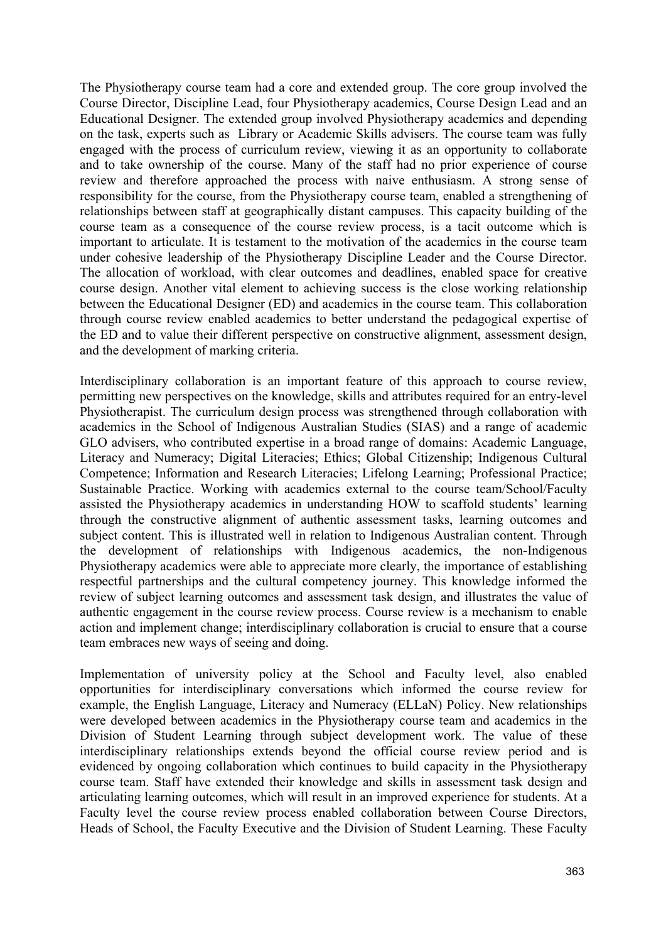The Physiotherapy course team had a core and extended group. The core group involved the Course Director, Discipline Lead, four Physiotherapy academics, Course Design Lead and an Educational Designer. The extended group involved Physiotherapy academics and depending on the task, experts such as Library or Academic Skills advisers. The course team was fully engaged with the process of curriculum review, viewing it as an opportunity to collaborate and to take ownership of the course. Many of the staff had no prior experience of course review and therefore approached the process with naive enthusiasm. A strong sense of responsibility for the course, from the Physiotherapy course team, enabled a strengthening of relationships between staff at geographically distant campuses. This capacity building of the course team as a consequence of the course review process, is a tacit outcome which is important to articulate. It is testament to the motivation of the academics in the course team under cohesive leadership of the Physiotherapy Discipline Leader and the Course Director. The allocation of workload, with clear outcomes and deadlines, enabled space for creative course design. Another vital element to achieving success is the close working relationship between the Educational Designer (ED) and academics in the course team. This collaboration through course review enabled academics to better understand the pedagogical expertise of the ED and to value their different perspective on constructive alignment, assessment design, and the development of marking criteria.

Interdisciplinary collaboration is an important feature of this approach to course review, permitting new perspectives on the knowledge, skills and attributes required for an entry-level Physiotherapist. The curriculum design process was strengthened through collaboration with academics in the School of Indigenous Australian Studies (SIAS) and a range of academic GLO advisers, who contributed expertise in a broad range of domains: Academic Language, Literacy and Numeracy; Digital Literacies; Ethics; Global Citizenship; Indigenous Cultural Competence; Information and Research Literacies; Lifelong Learning; Professional Practice; Sustainable Practice. Working with academics external to the course team/School/Faculty assisted the Physiotherapy academics in understanding HOW to scaffold students' learning through the constructive alignment of authentic assessment tasks, learning outcomes and subject content. This is illustrated well in relation to Indigenous Australian content. Through the development of relationships with Indigenous academics, the non-Indigenous Physiotherapy academics were able to appreciate more clearly, the importance of establishing respectful partnerships and the cultural competency journey. This knowledge informed the review of subject learning outcomes and assessment task design, and illustrates the value of authentic engagement in the course review process. Course review is a mechanism to enable action and implement change; interdisciplinary collaboration is crucial to ensure that a course team embraces new ways of seeing and doing.

Implementation of university policy at the School and Faculty level, also enabled opportunities for interdisciplinary conversations which informed the course review for example, the English Language, Literacy and Numeracy (ELLaN) Policy. New relationships were developed between academics in the Physiotherapy course team and academics in the Division of Student Learning through subject development work. The value of these interdisciplinary relationships extends beyond the official course review period and is evidenced by ongoing collaboration which continues to build capacity in the Physiotherapy course team. Staff have extended their knowledge and skills in assessment task design and articulating learning outcomes, which will result in an improved experience for students. At a Faculty level the course review process enabled collaboration between Course Directors, Heads of School, the Faculty Executive and the Division of Student Learning. These Faculty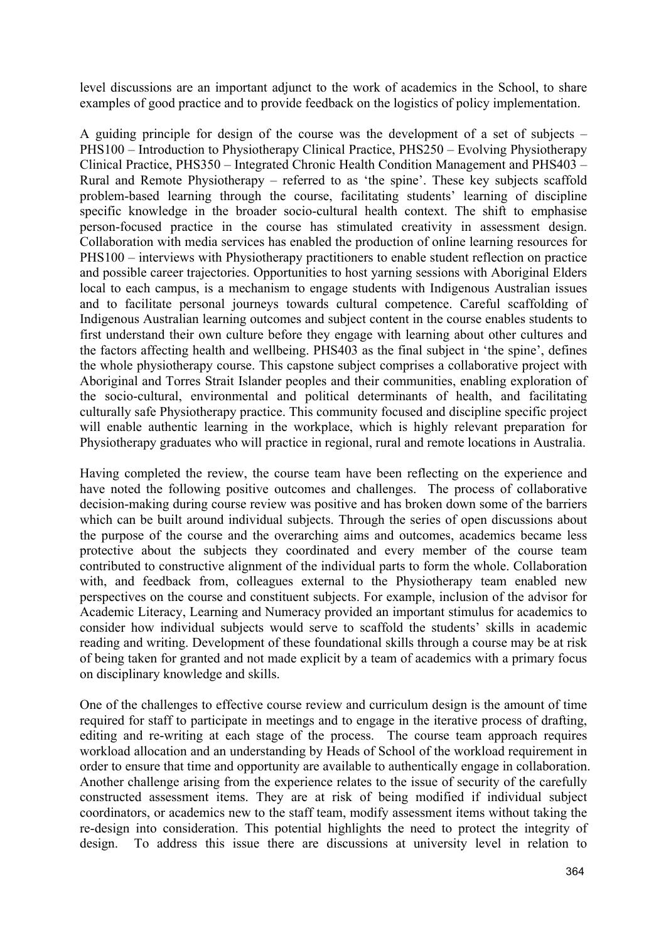level discussions are an important adjunct to the work of academics in the School, to share examples of good practice and to provide feedback on the logistics of policy implementation.

A guiding principle for design of the course was the development of a set of subjects – PHS100 – Introduction to Physiotherapy Clinical Practice, PHS250 – Evolving Physiotherapy Clinical Practice, PHS350 – Integrated Chronic Health Condition Management and PHS403 – Rural and Remote Physiotherapy – referred to as 'the spine'. These key subjects scaffold problem-based learning through the course, facilitating students' learning of discipline specific knowledge in the broader socio-cultural health context. The shift to emphasise person-focused practice in the course has stimulated creativity in assessment design. Collaboration with media services has enabled the production of online learning resources for PHS100 – interviews with Physiotherapy practitioners to enable student reflection on practice and possible career trajectories. Opportunities to host yarning sessions with Aboriginal Elders local to each campus, is a mechanism to engage students with Indigenous Australian issues and to facilitate personal journeys towards cultural competence. Careful scaffolding of Indigenous Australian learning outcomes and subject content in the course enables students to first understand their own culture before they engage with learning about other cultures and the factors affecting health and wellbeing. PHS403 as the final subject in 'the spine', defines the whole physiotherapy course. This capstone subject comprises a collaborative project with Aboriginal and Torres Strait Islander peoples and their communities, enabling exploration of the socio-cultural, environmental and political determinants of health, and facilitating culturally safe Physiotherapy practice. This community focused and discipline specific project will enable authentic learning in the workplace, which is highly relevant preparation for Physiotherapy graduates who will practice in regional, rural and remote locations in Australia.

Having completed the review, the course team have been reflecting on the experience and have noted the following positive outcomes and challenges. The process of collaborative decision-making during course review was positive and has broken down some of the barriers which can be built around individual subjects. Through the series of open discussions about the purpose of the course and the overarching aims and outcomes, academics became less protective about the subjects they coordinated and every member of the course team contributed to constructive alignment of the individual parts to form the whole. Collaboration with, and feedback from, colleagues external to the Physiotherapy team enabled new perspectives on the course and constituent subjects. For example, inclusion of the advisor for Academic Literacy, Learning and Numeracy provided an important stimulus for academics to consider how individual subjects would serve to scaffold the students' skills in academic reading and writing. Development of these foundational skills through a course may be at risk of being taken for granted and not made explicit by a team of academics with a primary focus on disciplinary knowledge and skills.

One of the challenges to effective course review and curriculum design is the amount of time required for staff to participate in meetings and to engage in the iterative process of drafting, editing and re-writing at each stage of the process. The course team approach requires workload allocation and an understanding by Heads of School of the workload requirement in order to ensure that time and opportunity are available to authentically engage in collaboration. Another challenge arising from the experience relates to the issue of security of the carefully constructed assessment items. They are at risk of being modified if individual subject coordinators, or academics new to the staff team, modify assessment items without taking the re-design into consideration. This potential highlights the need to protect the integrity of design. To address this issue there are discussions at university level in relation to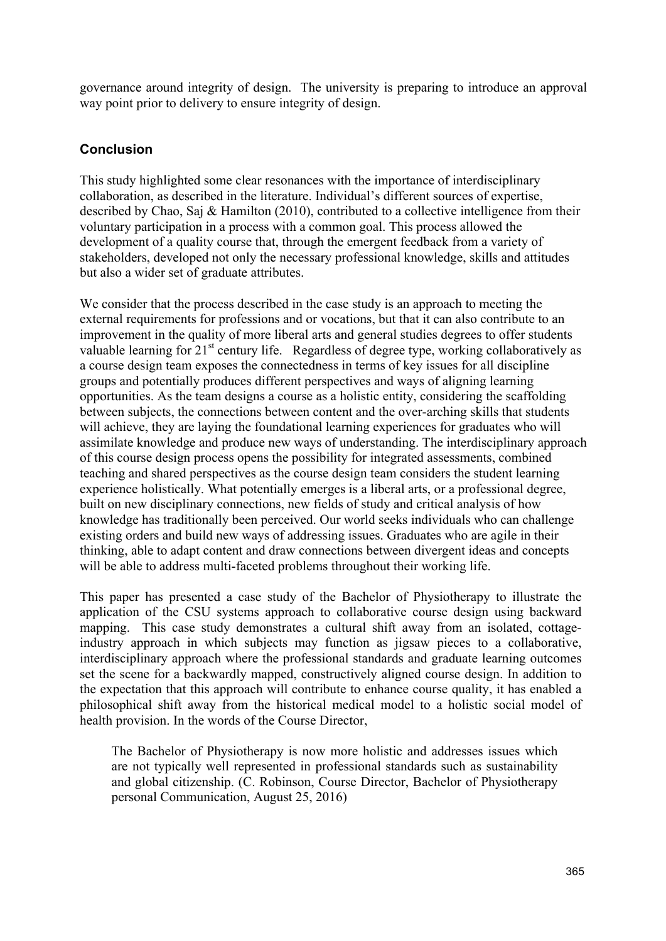governance around integrity of design. The university is preparing to introduce an approval way point prior to delivery to ensure integrity of design.

## **Conclusion**

This study highlighted some clear resonances with the importance of interdisciplinary collaboration, as described in the literature. Individual's different sources of expertise, described by Chao, Saj & Hamilton (2010), contributed to a collective intelligence from their voluntary participation in a process with a common goal. This process allowed the development of a quality course that, through the emergent feedback from a variety of stakeholders, developed not only the necessary professional knowledge, skills and attitudes but also a wider set of graduate attributes.

We consider that the process described in the case study is an approach to meeting the external requirements for professions and or vocations, but that it can also contribute to an improvement in the quality of more liberal arts and general studies degrees to offer students valuable learning for 21<sup>st</sup> century life. Regardless of degree type, working collaboratively as a course design team exposes the connectedness in terms of key issues for all discipline groups and potentially produces different perspectives and ways of aligning learning opportunities. As the team designs a course as a holistic entity, considering the scaffolding between subjects, the connections between content and the over-arching skills that students will achieve, they are laying the foundational learning experiences for graduates who will assimilate knowledge and produce new ways of understanding. The interdisciplinary approach of this course design process opens the possibility for integrated assessments, combined teaching and shared perspectives as the course design team considers the student learning experience holistically. What potentially emerges is a liberal arts, or a professional degree, built on new disciplinary connections, new fields of study and critical analysis of how knowledge has traditionally been perceived. Our world seeks individuals who can challenge existing orders and build new ways of addressing issues. Graduates who are agile in their thinking, able to adapt content and draw connections between divergent ideas and concepts will be able to address multi-faceted problems throughout their working life.

This paper has presented a case study of the Bachelor of Physiotherapy to illustrate the application of the CSU systems approach to collaborative course design using backward mapping. This case study demonstrates a cultural shift away from an isolated, cottageindustry approach in which subjects may function as jigsaw pieces to a collaborative, interdisciplinary approach where the professional standards and graduate learning outcomes set the scene for a backwardly mapped, constructively aligned course design. In addition to the expectation that this approach will contribute to enhance course quality, it has enabled a philosophical shift away from the historical medical model to a holistic social model of health provision. In the words of the Course Director,

The Bachelor of Physiotherapy is now more holistic and addresses issues which are not typically well represented in professional standards such as sustainability and global citizenship. (C. Robinson, Course Director, Bachelor of Physiotherapy personal Communication, August 25, 2016)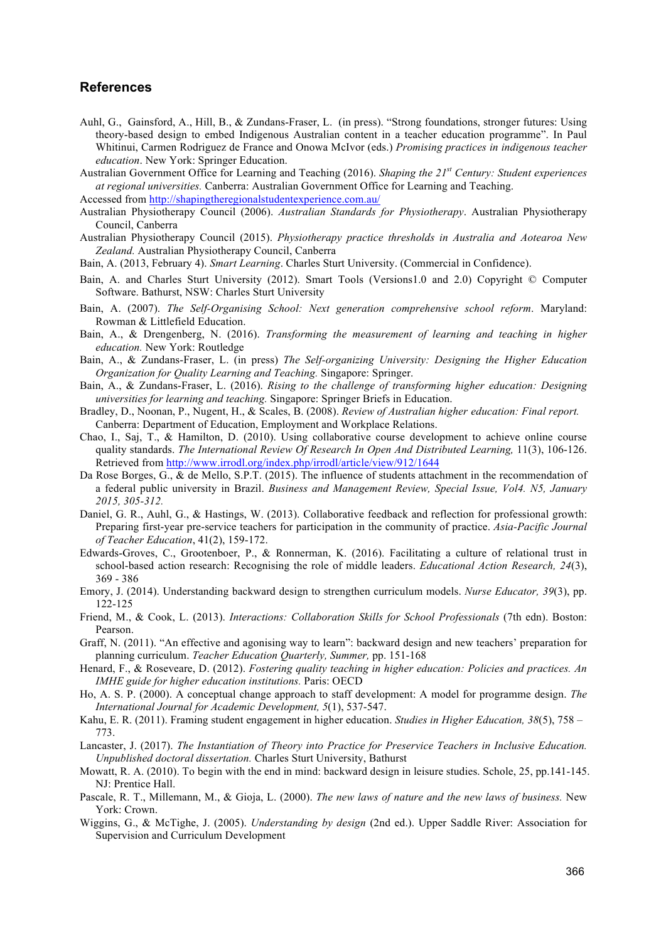#### **References**

- Auhl, G., Gainsford, A., Hill, B., & Zundans-Fraser, L. (in press). "Strong foundations, stronger futures: Using theory-based design to embed Indigenous Australian content in a teacher education programme". In Paul Whitinui, Carmen Rodriguez de France and Onowa McIvor (eds.) *Promising practices in indigenous teacher education*. New York: Springer Education.
- Australian Government Office for Learning and Teaching (2016). *Shaping the 21st Century: Student experiences at regional universities.* Canberra: Australian Government Office for Learning and Teaching.

Accessed from http://shapingtheregionalstudentexperience.com.au/

- Australian Physiotherapy Council (2006). *Australian Standards for Physiotherapy*. Australian Physiotherapy Council, Canberra
- Australian Physiotherapy Council (2015). *Physiotherapy practice thresholds in Australia and Aotearoa New Zealand.* Australian Physiotherapy Council, Canberra
- Bain, A. (2013, February 4). *Smart Learning*. Charles Sturt University. (Commercial in Confidence).
- Bain, A. and Charles Sturt University (2012). Smart Tools (Versions1.0 and 2.0) Copyright © Computer Software. Bathurst, NSW: Charles Sturt University
- Bain, A. (2007). *The Self-Organising School: Next generation comprehensive school reform*. Maryland: Rowman & Littlefield Education.
- Bain, A., & Drengenberg, N. (2016). *Transforming the measurement of learning and teaching in higher education.* New York: Routledge
- Bain, A., & Zundans-Fraser, L. (in press) *The Self-organizing University: Designing the Higher Education Organization for Quality Learning and Teaching.* Singapore: Springer.
- Bain, A., & Zundans-Fraser, L. (2016). *Rising to the challenge of transforming higher education: Designing universities for learning and teaching.* Singapore: Springer Briefs in Education.
- Bradley, D., Noonan, P., Nugent, H., & Scales, B. (2008). *Review of Australian higher education: Final report.*  Canberra: Department of Education, Employment and Workplace Relations.
- Chao, I., Saj, T., & Hamilton, D. (2010). Using collaborative course development to achieve online course quality standards. *The International Review Of Research In Open And Distributed Learning*, 11(3), 106-126. Retrieved from http://www.irrodl.org/index.php/irrodl/article/view/912/1644
- Da Rose Borges, G., & de Mello, S.P.T. (2015). The influence of students attachment in the recommendation of a federal public university in Brazil. *Business and Management Review, Special Issue, Vol4. N5, January 2015, 305-312.*
- Daniel, G. R., Auhl, G., & Hastings, W. (2013). Collaborative feedback and reflection for professional growth: Preparing first-year pre-service teachers for participation in the community of practice. *Asia-Pacific Journal of Teacher Education*, 41(2), 159-172.
- Edwards-Groves, C., Grootenboer, P., & Ronnerman, K. (2016). Facilitating a culture of relational trust in school-based action research: Recognising the role of middle leaders. *Educational Action Research, 24*(3), 369 - 386
- Emory, J. (2014). Understanding backward design to strengthen curriculum models. *Nurse Educator, 39*(3), pp. 122-125
- Friend, M., & Cook, L. (2013). *Interactions: Collaboration Skills for School Professionals* (7th edn). Boston: Pearson.
- Graff, N. (2011). "An effective and agonising way to learn": backward design and new teachers' preparation for planning curriculum. *Teacher Education Quarterly, Summer,* pp. 151-168
- Henard, F., & Roseveare, D. (2012). *Fostering quality teaching in higher education: Policies and practices. An IMHE guide for higher education institutions.* Paris: OECD
- Ho, A. S. P. (2000). A conceptual change approach to staff development: A model for programme design. *The International Journal for Academic Development, 5*(1), 537-547.
- Kahu, E. R. (2011). Framing student engagement in higher education. *Studies in Higher Education, 38*(5), 758 773.
- Lancaster, J. (2017). *The Instantiation of Theory into Practice for Preservice Teachers in Inclusive Education. Unpublished doctoral dissertation.* Charles Sturt University, Bathurst
- Mowatt, R. A. (2010). To begin with the end in mind: backward design in leisure studies. Schole, 25, pp.141-145. NJ: Prentice Hall.
- Pascale, R. T., Millemann, M., & Gioja, L. (2000). *The new laws of nature and the new laws of business.* New York: Crown.
- Wiggins, G., & McTighe, J. (2005). *Understanding by design* (2nd ed.). Upper Saddle River: Association for Supervision and Curriculum Development